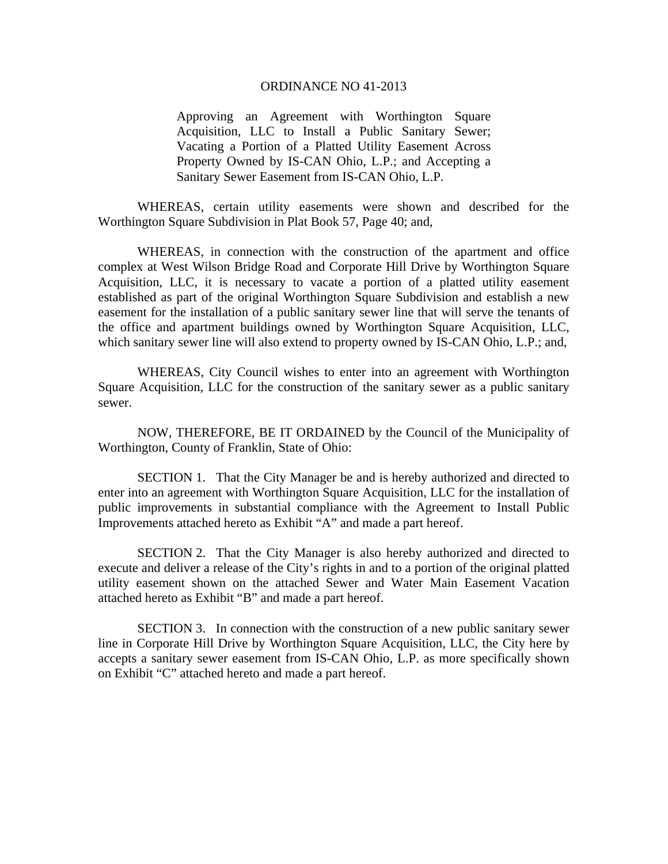## ORDINANCE NO 41-2013

Approving an Agreement with Worthington Square Acquisition, LLC to Install a Public Sanitary Sewer; Vacating a Portion of a Platted Utility Easement Across Property Owned by IS-CAN Ohio, L.P.; and Accepting a Sanitary Sewer Easement from IS-CAN Ohio, L.P.

WHEREAS, certain utility easements were shown and described for the Worthington Square Subdivision in Plat Book 57, Page 40; and,

WHEREAS, in connection with the construction of the apartment and office complex at West Wilson Bridge Road and Corporate Hill Drive by Worthington Square Acquisition, LLC, it is necessary to vacate a portion of a platted utility easement established as part of the original Worthington Square Subdivision and establish a new easement for the installation of a public sanitary sewer line that will serve the tenants of the office and apartment buildings owned by Worthington Square Acquisition, LLC, which sanitary sewer line will also extend to property owned by IS-CAN Ohio, L.P.; and,

WHEREAS, City Council wishes to enter into an agreement with Worthington Square Acquisition, LLC for the construction of the sanitary sewer as a public sanitary sewer.

NOW, THEREFORE, BE IT ORDAINED by the Council of the Municipality of Worthington, County of Franklin, State of Ohio:

SECTION 1. That the City Manager be and is hereby authorized and directed to enter into an agreement with Worthington Square Acquisition, LLC for the installation of public improvements in substantial compliance with the Agreement to Install Public Improvements attached hereto as Exhibit "A" and made a part hereof.

SECTION 2. That the City Manager is also hereby authorized and directed to execute and deliver a release of the City's rights in and to a portion of the original platted utility easement shown on the attached Sewer and Water Main Easement Vacation attached hereto as Exhibit "B" and made a part hereof.

SECTION 3. In connection with the construction of a new public sanitary sewer line in Corporate Hill Drive by Worthington Square Acquisition, LLC, the City here by accepts a sanitary sewer easement from IS-CAN Ohio, L.P. as more specifically shown on Exhibit "C" attached hereto and made a part hereof.